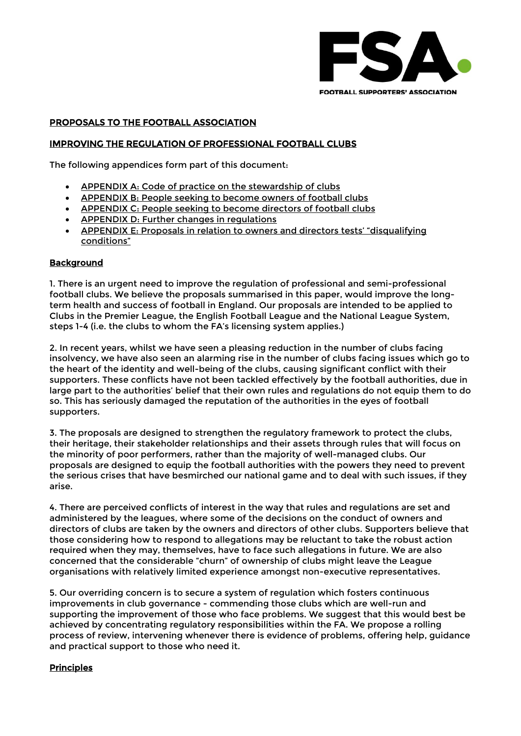

# PROPOSALS TO THE FOOTBALL ASSOCIATION

## IMPROVING THE REGULATION OF PROFESSIONAL FOOTBALL CLUBS

The following appendices form part of this document:

- APPENDIX A: Code of practice on the [stewardship](#page-4-0) of clubs
- [APPENDIX](#page-7-0) B: People seeking to become owners of football clubs
- [APPENDIX](#page-10-0) C: People seeking to become directors of football clubs
- APPENDIX D: Further changes in [regulations](#page-13-0)
- APPENDIX E: Proposals in relation to owners and directors tests' ["disqualifying](#page-17-0) [conditions"](#page-17-0)

### **Background**

1. There is an urgent need to improve the regulation of professional and semi-professional football clubs. We believe the proposals summarised in this paper, would improve the longterm health and success of football in England. Our proposals are intended to be applied to Clubs in the Premier League, the English Football League and the National League System, steps 1-4 (i.e. the clubs to whom the FA's licensing system applies.)

2. In recent years, whilst we have seen a pleasing reduction in the number of clubs facing insolvency, we have also seen an alarming rise in the number of clubs facing issues which go to the heart of the identity and well-being of the clubs, causing significant conflict with their supporters. These conflicts have not been tackled effectively by the football authorities, due in large part to the authorities' belief that their own rules and regulations do not equip them to do so. This has seriously damaged the reputation of the authorities in the eyes of football supporters.

3. The proposals are designed to strengthen the regulatory framework to protect the clubs, their heritage, their stakeholder relationships and their assets through rules that will focus on the minority of poor performers, rather than the majority of well-managed clubs. Our proposals are designed to equip the football authorities with the powers they need to prevent the serious crises that have besmirched our national game and to deal with such issues, if they arise.

4. There are perceived conflicts of interest in the way that rules and regulations are set and administered by the leagues, where some of the decisions on the conduct of owners and directors of clubs are taken by the owners and directors of other clubs. Supporters believe that those considering how to respond to allegations may be reluctant to take the robust action required when they may, themselves, have to face such allegations in future. We are also concerned that the considerable "churn" of ownership of clubs might leave the League organisations with relatively limited experience amongst non-executive representatives.

5. Our overriding concern is to secure a system of regulation which fosters continuous improvements in club governance - commending those clubs which are well-run and supporting the improvement of those who face problems. We suggest that this would best be achieved by concentrating regulatory responsibilities within the FA. We propose a rolling process of review, intervening whenever there is evidence of problems, offering help, guidance and practical support to those who need it.

### **Principles**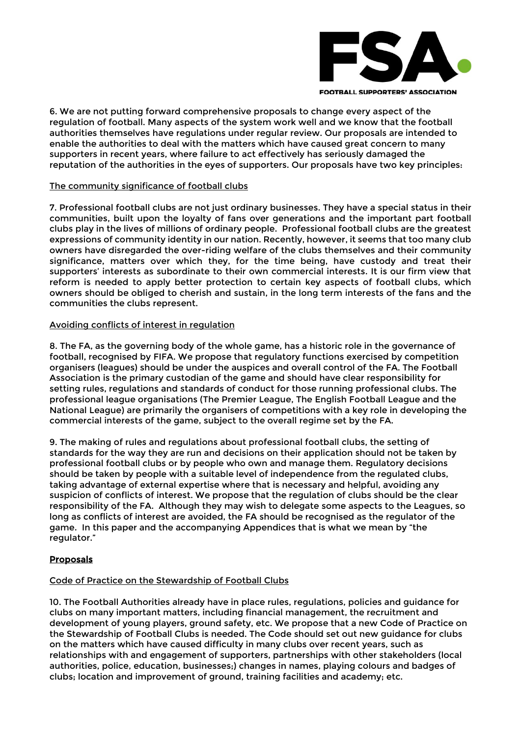

6. We are not putting forward comprehensive proposals to change every aspect of the regulation of football. Many aspects of the system work well and we know that the football authorities themselves have regulations under regular review. Our proposals are intended to enable the authorities to deal with the matters which have caused great concern to many supporters in recent years, where failure to act effectively has seriously damaged the reputation of the authorities in the eyes of supporters. Our proposals have two key principles:

# The community significance of football clubs

7. Professional football clubs are not just ordinary businesses. They have a special status in their communities, built upon the loyalty of fans over generations and the important part football clubs play in the lives of millions of ordinary people. Professional football clubs are the greatest expressions of community identity in our nation. Recently, however, it seems that too many club owners have disregarded the over-riding welfare of the clubs themselves and their community significance, matters over which they, for the time being, have custody and treat their supporters' interests as subordinate to their own commercial interests. It is our firm view that reform is needed to apply better protection to certain key aspects of football clubs, which owners should be obliged to cherish and sustain, in the long term interests of the fans and the communities the clubs represent.

# Avoiding conflicts of interest in regulation

8. The FA, as the governing body of the whole game, has a historic role in the governance of football, recognised by FIFA. We propose that regulatory functions exercised by competition organisers (leagues) should be under the auspices and overall control of the FA. The Football Association is the primary custodian of the game and should have clear responsibility for setting rules, regulations and standards of conduct for those running professional clubs. The professional league organisations (The Premier League, The English Football League and the National League) are primarily the organisers of competitions with a key role in developing the commercial interests of the game, subject to the overall regime set by the FA.

9. The making of rules and regulations about professional football clubs, the setting of standards for the way they are run and decisions on their application should not be taken by professional football clubs or by people who own and manage them. Regulatory decisions should be taken by people with a suitable level of independence from the regulated clubs, taking advantage of external expertise where that is necessary and helpful, avoiding any suspicion of conflicts of interest. We propose that the regulation of clubs should be the clear responsibility of the FA. Although they may wish to delegate some aspects to the Leagues, so long as conflicts of interest are avoided, the FA should be recognised as the regulator of the game. In this paper and the accompanying Appendices that is what we mean by "the regulator."

# Proposals

# Code of Practice on the Stewardship of Football Clubs

10. The Football Authorities already have in place rules, regulations, policies and guidance for clubs on many important matters, including financial management, the recruitment and development of young players, ground safety, etc. We propose that a new Code of Practice on the Stewardship of Football Clubs is needed. The Code should set out new guidance for clubs on the matters which have caused difficulty in many clubs over recent years, such as relationships with and engagement of supporters, partnerships with other stakeholders (local authorities, police, education, businesses;) changes in names, playing colours and badges of clubs; location and improvement of ground, training facilities and academy; etc.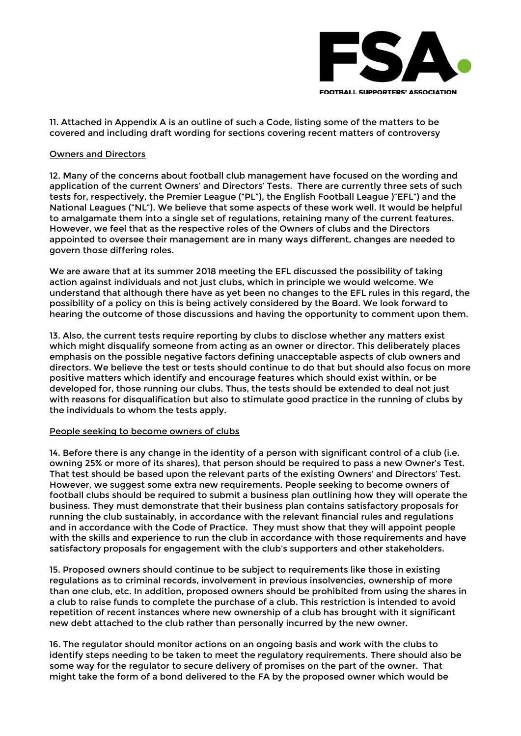

11. Attached in Appendix A is an outline of such a Code, listing some of the matters to be covered and including draft wording for sections covering recent matters of controversy

#### Owners and Directors

12. Many of the concerns about football club management have focused on the wording and application of the current Owners' and Directors' Tests. There are currently three sets of such tests for, respectively, the Premier League ("PL"), the English Football League )"EFL") and the National Leagues ("NL"). We believe that some aspects of these work well. It would be helpful to amalgamate them into a single set of regulations, retaining many of the current features. However, we feel that as the respective roles of the Owners of clubs and the Directors appointed to oversee their management are in many ways different, changes are needed to govern those differing roles.

We are aware that at its summer 2018 meeting the EFL discussed the possibility of taking action against individuals and not just clubs, which in principle we would welcome. We understand that although there have as yet been no changes to the EFL rules in this regard, the possibility of a policy on this is being actively considered by the Board. We look forward to hearing the outcome of those discussions and having the opportunity to comment upon them.

13. Also, the current tests require reporting by clubs to disclose whether any matters exist which might disqualify someone from acting as an owner or director. This deliberately places emphasis on the possible negative factors defining unacceptable aspects of club owners and directors. We believe the test or tests should continue to do that but should also focus on more positive matters which identify and encourage features which should exist within, or be developed for, those running our clubs. Thus, the tests should be extended to deal not just with reasons for disqualification but also to stimulate good practice in the running of clubs by the individuals to whom the tests apply.

### People seeking to become owners of clubs

14. Before there is any change in the identity of a person with significant control of a club (i.e. owning 25% or more of its shares), that person should be required to pass a new Owner's Test. That test should be based upon the relevant parts of the existing Owners' and Directors' Test. However, we suggest some extra new requirements. People seeking to become owners of football clubs should be required to submit a business plan outlining how they will operate the business. They must demonstrate that their business plan contains satisfactory proposals for running the club sustainably, in accordance with the relevant financial rules and regulations and in accordance with the Code of Practice. They must show that they will appoint people with the skills and experience to run the club in accordance with those requirements and have satisfactory proposals for engagement with the club's supporters and other stakeholders.

15. Proposed owners should continue to be subject to requirements like those in existing regulations as to criminal records, involvement in previous insolvencies, ownership of more than one club, etc. In addition, proposed owners should be prohibited from using the shares in a club to raise funds to complete the purchase of a club. This restriction is intended to avoid repetition of recent instances where new ownership of a club has brought with it significant new debt attached to the club rather than personally incurred by the new owner.

16. The regulator should monitor actions on an ongoing basis and work with the clubs to identify steps needing to be taken to meet the regulatory requirements. There should also be some way for the regulator to secure delivery of promises on the part of the owner. That might take the form of a bond delivered to the FA by the proposed owner which would be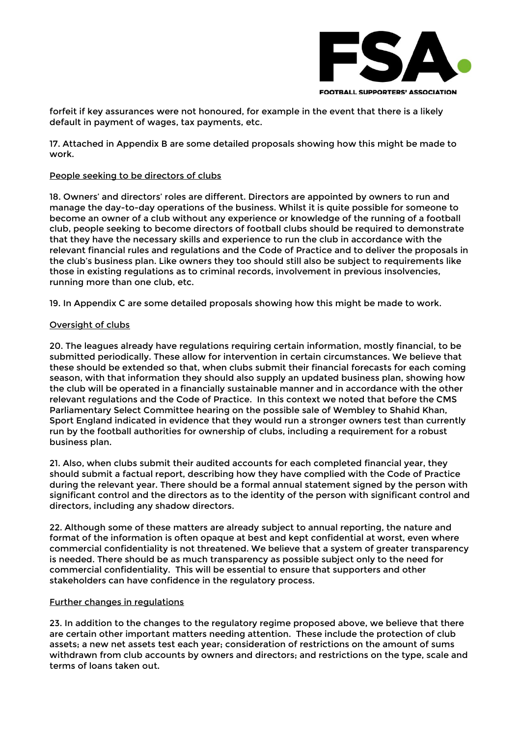

forfeit if key assurances were not honoured, for example in the event that there is a likely default in payment of wages, tax payments, etc.

17. Attached in Appendix B are some detailed proposals showing how this might be made to work.

### People seeking to be directors of clubs

18. Owners' and directors' roles are different. Directors are appointed by owners to run and manage the day-to-day operations of the business. Whilst it is quite possible for someone to become an owner of a club without any experience or knowledge of the running of a football club, people seeking to become directors of football clubs should be required to demonstrate that they have the necessary skills and experience to run the club in accordance with the relevant financial rules and regulations and the Code of Practice and to deliver the proposals in the club's business plan. Like owners they too should still also be subject to requirements like those in existing regulations as to criminal records, involvement in previous insolvencies, running more than one club, etc.

19. In Appendix C are some detailed proposals showing how this might be made to work.

# Oversight of clubs

20. The leagues already have regulations requiring certain information, mostly financial, to be submitted periodically. These allow for intervention in certain circumstances. We believe that these should be extended so that, when clubs submit their financial forecasts for each coming season, with that information they should also supply an updated business plan, showing how the club will be operated in a financially sustainable manner and in accordance with the other relevant regulations and the Code of Practice. In this context we noted that before the CMS Parliamentary Select Committee hearing on the possible sale of Wembley to Shahid Khan, Sport England indicated in evidence that they would run a stronger owners test than currently run by the football authorities for ownership of clubs, including a requirement for a robust business plan.

21. Also, when clubs submit their audited accounts for each completed financial year, they should submit a factual report, describing how they have complied with the Code of Practice during the relevant year. There should be a formal annual statement signed by the person with significant control and the directors as to the identity of the person with significant control and directors, including any shadow directors.

22. Although some of these matters are already subject to annual reporting, the nature and format of the information is often opaque at best and kept confidential at worst, even where commercial confidentiality is not threatened. We believe that a system of greater transparency is needed. There should be as much transparency as possible subject only to the need for commercial confidentiality. This will be essential to ensure that supporters and other stakeholders can have confidence in the regulatory process.

### Further changes in regulations

23. In addition to the changes to the regulatory regime proposed above, we believe that there are certain other important matters needing attention. These include the protection of club assets; a new net assets test each year; consideration of restrictions on the amount of sums withdrawn from club accounts by owners and directors; and restrictions on the type, scale and terms of loans taken out.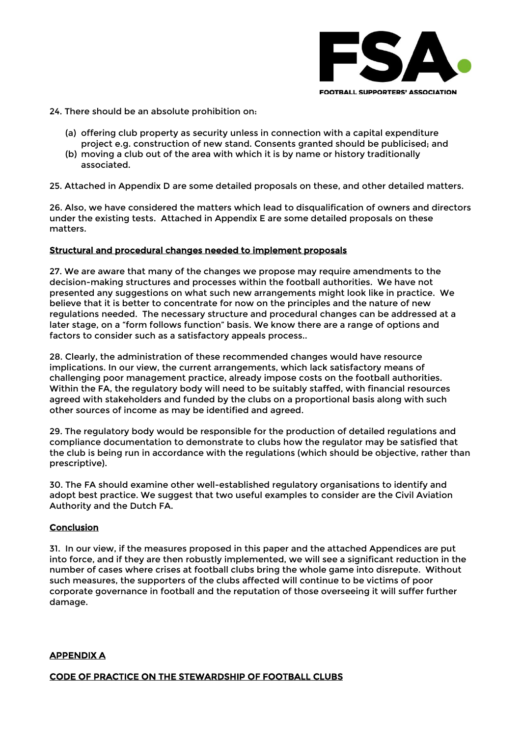

24. There should be an absolute prohibition on:

- (a) offering club property as security unless in connection with a capital expenditure project e.g. construction of new stand. Consents granted should be publicised; and
- (b) moving a club out of the area with which it is by name or history traditionally associated.

25. Attached in Appendix D are some detailed proposals on these, and other detailed matters.

26. Also, we have considered the matters which lead to disqualification of owners and directors under the existing tests. Attached in Appendix E are some detailed proposals on these matters.

# Structural and procedural changes needed to implement proposals

27. We are aware that many of the changes we propose may require amendments to the decision-making structures and processes within the football authorities. We have not presented any suggestions on what such new arrangements might look like in practice. We believe that it is better to concentrate for now on the principles and the nature of new regulations needed. The necessary structure and procedural changes can be addressed at a later stage, on a "form follows function" basis. We know there are a range of options and factors to consider such as a satisfactory appeals process..

28. Clearly, the administration of these recommended changes would have resource implications. In our view, the current arrangements, which lack satisfactory means of challenging poor management practice, already impose costs on the football authorities. Within the FA, the regulatory body will need to be suitably staffed, with financial resources agreed with stakeholders and funded by the clubs on a proportional basis along with such other sources of income as may be identified and agreed.

29. The regulatory body would be responsible for the production of detailed regulations and compliance documentation to demonstrate to clubs how the regulator may be satisfied that the club is being run in accordance with the regulations (which should be objective, rather than prescriptive).

30. The FA should examine other well-established regulatory organisations to identify and adopt best practice. We suggest that two useful examples to consider are the Civil Aviation Authority and the Dutch FA.

# **Conclusion**

31. In our view, if the measures proposed in this paper and the attached Appendices are put into force, and if they are then robustly implemented, we will see a significant reduction in the number of cases where crises at football clubs bring the whole game into disrepute. Without such measures, the supporters of the clubs affected will continue to be victims of poor corporate governance in football and the reputation of those overseeing it will suffer further damage.

### <span id="page-4-0"></span>APPENDIX A

CODE OF PRACTICE ON THE STEWARDSHIP OF FOOTBALL CLUBS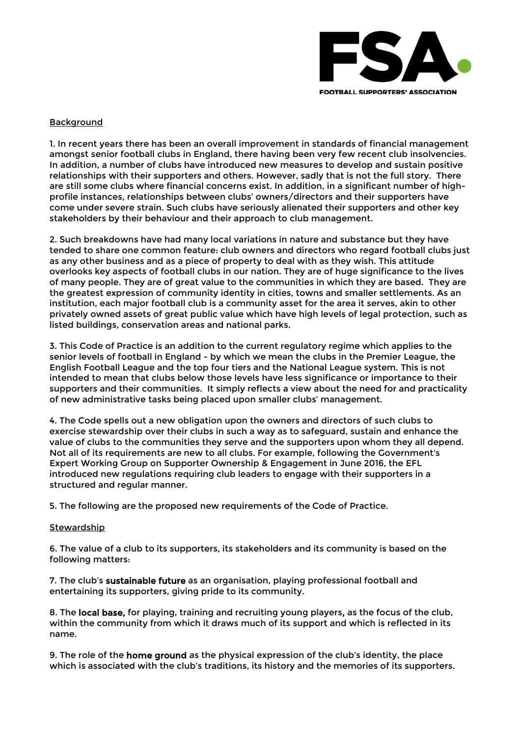

### **Background**

1. In recent years there has been an overall improvement in standards of financial management amongst senior football clubs in England, there having been very few recent club insolvencies. In addition, a number of clubs have introduced new measures to develop and sustain positive relationships with their supporters and others. However, sadly that is not the full story. There are still some clubs where financial concerns exist. In addition, in a significant number of highprofile instances, relationships between clubs' owners/directors and their supporters have come under severe strain. Such clubs have seriously alienated their supporters and other key stakeholders by their behaviour and their approach to club management.

2. Such breakdowns have had many local variations in nature and substance but they have tended to share one common feature: club owners and directors who regard football clubs just as any other business and as a piece of property to deal with as they wish. This attitude overlooks key aspects of football clubs in our nation. They are of huge significance to the lives of many people. They are of great value to the communities in which they are based. They are the greatest expression of community identity in cities, towns and smaller settlements. As an institution, each major football club is a community asset for the area it serves, akin to other privately owned assets of great public value which have high levels of legal protection, such as listed buildings, conservation areas and national parks.

3. This Code of Practice is an addition to the current regulatory regime which applies to the senior levels of football in England - by which we mean the clubs in the Premier League, the English Football League and the top four tiers and the National League system. This is not intended to mean that clubs below those levels have less significance or importance to their supporters and their communities. It simply reflects a view about the need for and practicality of new administrative tasks being placed upon smaller clubs' management.

4. The Code spells out a new obligation upon the owners and directors of such clubs to exercise stewardship over their clubs in such a way as to safeguard, sustain and enhance the value of clubs to the communities they serve and the supporters upon whom they all depend. Not all of its requirements are new to all clubs. For example, following the Government's Expert Working Group on Supporter Ownership & Engagement in June 2016, the EFL introduced new regulations requiring club leaders to engage with their supporters in a structured and regular manner.

5. The following are the proposed new requirements of the Code of Practice.

### **Stewardship**

6. The value of a club to its supporters, its stakeholders and its community is based on the following matters:

7. The club's sustainable future as an organisation, playing professional football and entertaining its supporters, giving pride to its community.

8. The local base, for playing, training and recruiting young players, as the focus of the club, within the community from which it draws much of its support and which is reflected in its name.

9. The role of the **home ground** as the physical expression of the club's identity, the place which is associated with the club's traditions, its history and the memories of its supporters.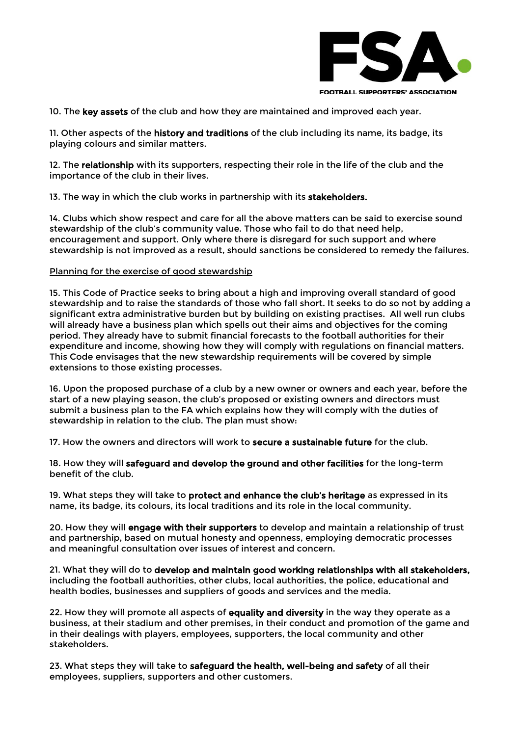

10. The key assets of the club and how they are maintained and improved each year.

11. Other aspects of the history and traditions of the club including its name, its badge, its playing colours and similar matters.

12. The relationship with its supporters, respecting their role in the life of the club and the importance of the club in their lives.

13. The way in which the club works in partnership with its stakeholders.

14. Clubs which show respect and care for all the above matters can be said to exercise sound stewardship of the club's community value. Those who fail to do that need help, encouragement and support. Only where there is disregard for such support and where stewardship is not improved as a result, should sanctions be considered to remedy the failures.

#### Planning for the exercise of good stewardship

15. This Code of Practice seeks to bring about a high and improving overall standard of good stewardship and to raise the standards of those who fall short. It seeks to do so not by adding a significant extra administrative burden but by building on existing practises. All well run clubs will already have a business plan which spells out their aims and objectives for the coming period. They already have to submit financial forecasts to the football authorities for their expenditure and income, showing how they will comply with regulations on financial matters. This Code envisages that the new stewardship requirements will be covered by simple extensions to those existing processes.

16. Upon the proposed purchase of a club by a new owner or owners and each year, before the start of a new playing season, the club's proposed or existing owners and directors must submit a business plan to the FA which explains how they will comply with the duties of stewardship in relation to the club. The plan must show:

17. How the owners and directors will work to secure a sustainable future for the club.

18. How they will safeguard and develop the ground and other facilities for the long-term benefit of the club.

19. What steps they will take to protect and enhance the club's heritage as expressed in its name, its badge, its colours, its local traditions and its role in the local community.

20. How they will engage with their supporters to develop and maintain a relationship of trust and partnership, based on mutual honesty and openness, employing democratic processes and meaningful consultation over issues of interest and concern.

21. What they will do to develop and maintain good working relationships with all stakeholders, including the football authorities, other clubs, local authorities, the police, educational and health bodies, businesses and suppliers of goods and services and the media.

22. How they will promote all aspects of equality and diversity in the way they operate as a business, at their stadium and other premises, in their conduct and promotion of the game and in their dealings with players, employees, supporters, the local community and other stakeholders.

23. What steps they will take to safeguard the health, well-being and safety of all their employees, suppliers, supporters and other customers.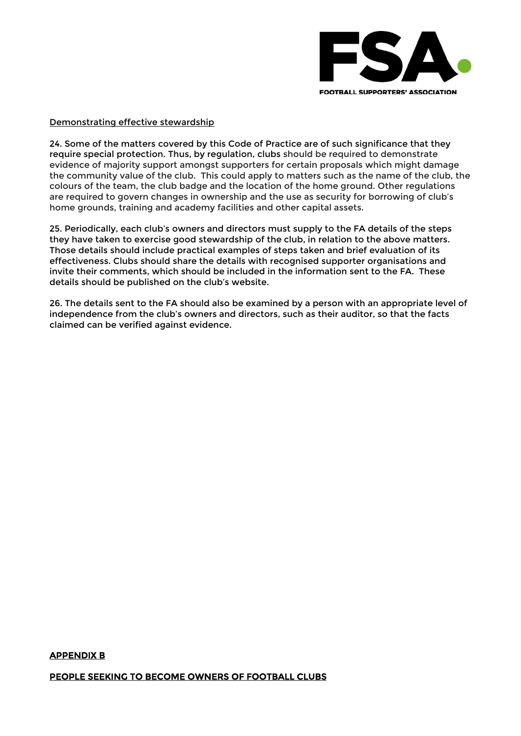

# Demonstrating effective stewardship

24. Some of the matters covered by this Code of Practice are of such significance that they require special protection. Thus, by regulation, clubs should be required to demonstrate evidence of majority support amongst supporters for certain proposals which might damage the community value of the club. This could apply to matters such as the name of the club, the colours of the team, the club badge and the location of the home ground. Other regulations are required to govern changes in ownership and the use as security for borrowing of club's home grounds, training and academy facilities and other capital assets.

25. Periodically, each club's owners and directors must supply to the FA details of the steps they have taken to exercise good stewardship of the club, in relation to the above matters. Those details should include practical examples of steps taken and brief evaluation of its effectiveness. Clubs should share the details with recognised supporter organisations and invite their comments, which should be included in the information sent to the FA. These details should be published on the club's website.

26. The details sent to the FA should also be examined by a person with an appropriate level of independence from the club's owners and directors, such as their auditor, so that the facts claimed can be verified against evidence.

#### <span id="page-7-0"></span>APPENDIX B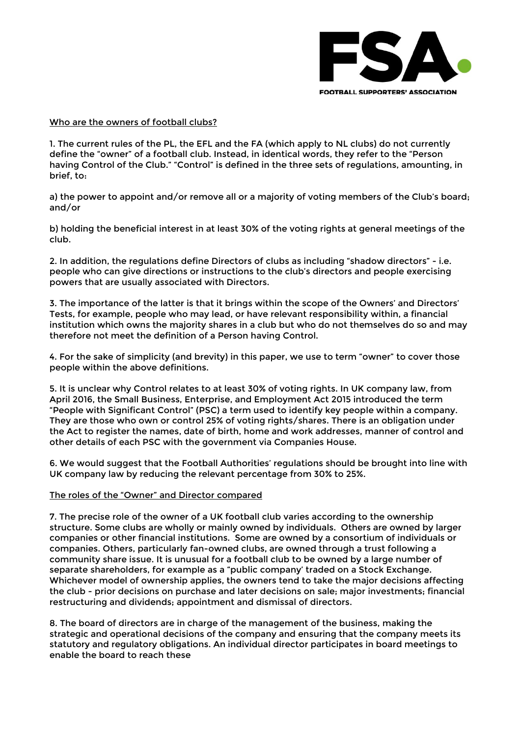

### Who are the owners of football clubs?

1. The current rules of the PL, the EFL and the FA (which apply to NL clubs) do not currently define the "owner" of a football club. Instead, in identical words, they refer to the "Person having Control of the Club." "Control" is defined in the three sets of regulations, amounting, in brief, to:

a) the power to appoint and/or remove all or a majority of voting members of the Club's board; and/or

b) holding the beneficial interest in at least 30% of the voting rights at general meetings of the club.

2. In addition, the regulations define Directors of clubs as including "shadow directors" - i.e. people who can give directions or instructions to the club's directors and people exercising powers that are usually associated with Directors.

3. The importance of the latter is that it brings within the scope of the Owners' and Directors' Tests, for example, people who may lead, or have relevant responsibility within, a financial institution which owns the majority shares in a club but who do not themselves do so and may therefore not meet the definition of a Person having Control.

4. For the sake of simplicity (and brevity) in this paper, we use to term "owner" to cover those people within the above definitions.

5. It is unclear why Control relates to at least 30% of voting rights. In UK company law, from April 2016, the Small Business, Enterprise, and Employment Act 2015 introduced the term "People with Significant Control" (PSC) a term used to identify key people within a company. They are those who own or control 25% of voting rights/shares. There is an obligation under the Act to register the names, date of birth, home and work addresses, manner of control and other details of each PSC with the government via Companies House.

6. We would suggest that the Football Authorities' regulations should be brought into line with UK company law by reducing the relevant percentage from 30% to 25%.

#### The roles of the "Owner" and Director compared

7. The precise role of the owner of a UK football club varies according to the ownership structure. Some clubs are wholly or mainly owned by individuals. Others are owned by larger companies or other financial institutions. Some are owned by a consortium of individuals or companies. Others, particularly fan-owned clubs, are owned through a trust following a community share issue. It is unusual for a football club to be owned by a large number of separate shareholders, for example as a "public company' traded on a Stock Exchange. Whichever model of ownership applies, the owners tend to take the major decisions affecting the club - prior decisions on purchase and later decisions on sale; major investments; financial restructuring and dividends; appointment and dismissal of directors.

8. The board of directors are in charge of the management of the business, making the strategic and operational decisions of the company and ensuring that the company meets its statutory and regulatory obligations. An individual director participates in board meetings to enable the board to reach these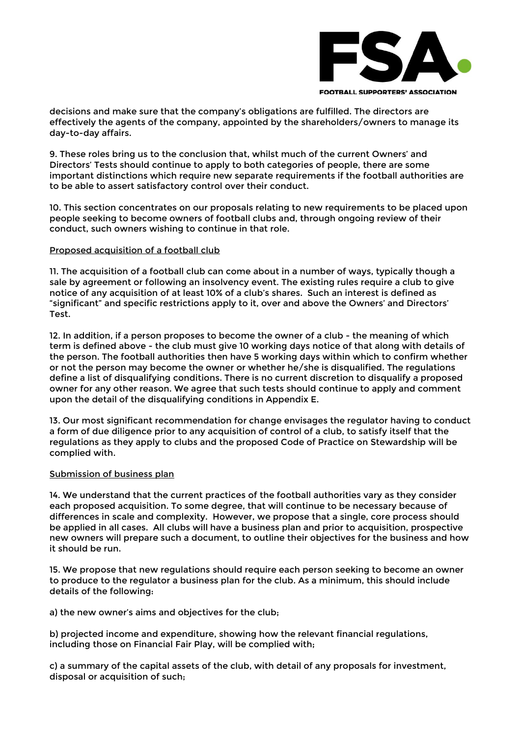

decisions and make sure that the company's obligations are fulfilled. The directors are effectively the agents of the company, appointed by the shareholders/owners to manage its day-to-day affairs.

9. These roles bring us to the conclusion that, whilst much of the current Owners' and Directors' Tests should continue to apply to both categories of people, there are some important distinctions which require new separate requirements if the football authorities are to be able to assert satisfactory control over their conduct.

10. This section concentrates on our proposals relating to new requirements to be placed upon people seeking to become owners of football clubs and, through ongoing review of their conduct, such owners wishing to continue in that role.

### Proposed acquisition of a football club

11. The acquisition of a football club can come about in a number of ways, typically though a sale by agreement or following an insolvency event. The existing rules require a club to give notice of any acquisition of at least 10% of a club's shares. Such an interest is defined as "significant" and specific restrictions apply to it, over and above the Owners' and Directors' Test.

12. In addition, if a person proposes to become the owner of a club - the meaning of which term is defined above - the club must give 10 working days notice of that along with details of the person. The football authorities then have 5 working days within which to confirm whether or not the person may become the owner or whether he/she is disqualified. The regulations define a list of disqualifying conditions. There is no current discretion to disqualify a proposed owner for any other reason. We agree that such tests should continue to apply and comment upon the detail of the disqualifying conditions in Appendix E.

13. Our most significant recommendation for change envisages the regulator having to conduct a form of due diligence prior to any acquisition of control of a club, to satisfy itself that the regulations as they apply to clubs and the proposed Code of Practice on Stewardship will be complied with.

### Submission of business plan

14. We understand that the current practices of the football authorities vary as they consider each proposed acquisition. To some degree, that will continue to be necessary because of differences in scale and complexity. However, we propose that a single, core process should be applied in all cases. All clubs will have a business plan and prior to acquisition, prospective new owners will prepare such a document, to outline their objectives for the business and how it should be run.

15. We propose that new regulations should require each person seeking to become an owner to produce to the regulator a business plan for the club. As a minimum, this should include details of the following:

a) the new owner's aims and objectives for the club;

b) projected income and expenditure, showing how the relevant financial regulations, including those on Financial Fair Play, will be complied with;

c) a summary of the capital assets of the club, with detail of any proposals for investment, disposal or acquisition of such;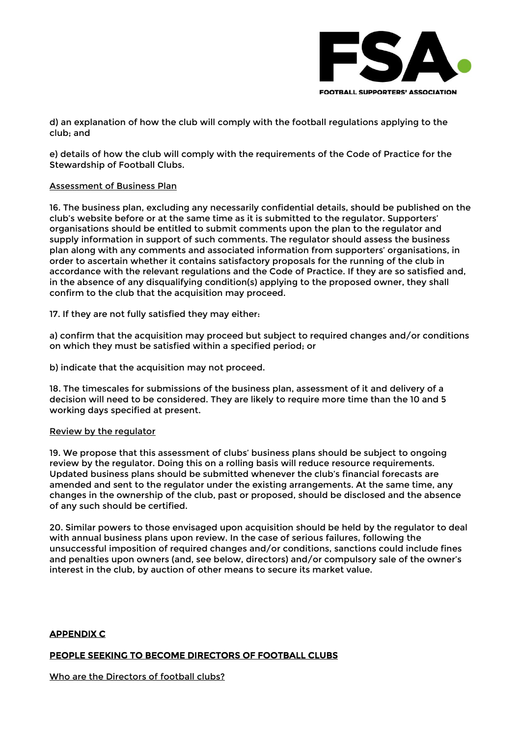

d) an explanation of how the club will comply with the football regulations applying to the club; and

e) details of how the club will comply with the requirements of the Code of Practice for the Stewardship of Football Clubs.

### Assessment of Business Plan

16. The business plan, excluding any necessarily confidential details, should be published on the club's website before or at the same time as it is submitted to the regulator. Supporters' organisations should be entitled to submit comments upon the plan to the regulator and supply information in support of such comments. The regulator should assess the business plan along with any comments and associated information from supporters' organisations, in order to ascertain whether it contains satisfactory proposals for the running of the club in accordance with the relevant regulations and the Code of Practice. If they are so satisfied and, in the absence of any disqualifying condition(s) applying to the proposed owner, they shall confirm to the club that the acquisition may proceed.

17. If they are not fully satisfied they may either:

a) confirm that the acquisition may proceed but subject to required changes and/or conditions on which they must be satisfied within a specified period; or

b) indicate that the acquisition may not proceed.

18. The timescales for submissions of the business plan, assessment of it and delivery of a decision will need to be considered. They are likely to require more time than the 10 and 5 working days specified at present.

#### Review by the regulator

19. We propose that this assessment of clubs' business plans should be subject to ongoing review by the regulator. Doing this on a rolling basis will reduce resource requirements. Updated business plans should be submitted whenever the club's financial forecasts are amended and sent to the regulator under the existing arrangements. At the same time, any changes in the ownership of the club, past or proposed, should be disclosed and the absence of any such should be certified.

20. Similar powers to those envisaged upon acquisition should be held by the regulator to deal with annual business plans upon review. In the case of serious failures, following the unsuccessful imposition of required changes and/or conditions, sanctions could include fines and penalties upon owners (and, see below, directors) and/or compulsory sale of the owner's interest in the club, by auction of other means to secure its market value.

### <span id="page-10-0"></span>APPENDIX C

### PEOPLE SEEKING TO BECOME DIRECTORS OF FOOTBALL CLUBS

Who are the Directors of football clubs?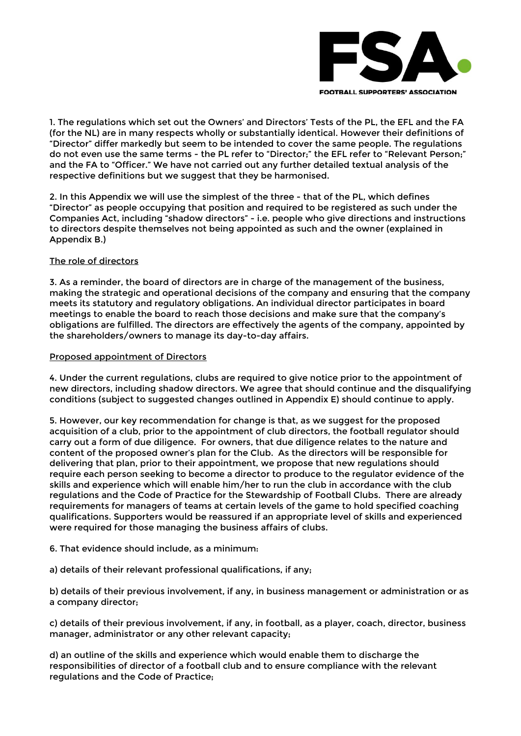

1. The regulations which set out the Owners' and Directors' Tests of the PL, the EFL and the FA (for the NL) are in many respects wholly or substantially identical. However their definitions of "Director" differ markedly but seem to be intended to cover the same people. The regulations do not even use the same terms - the PL refer to "Director;" the EFL refer to "Relevant Person;" and the FA to "Officer." We have not carried out any further detailed textual analysis of the respective definitions but we suggest that they be harmonised.

2. In this Appendix we will use the simplest of the three - that of the PL, which defines "Director" as people occupying that position and required to be registered as such under the Companies Act, including "shadow directors" - i.e. people who give directions and instructions to directors despite themselves not being appointed as such and the owner (explained in Appendix B.)

# The role of directors

3. As a reminder, the board of directors are in charge of the management of the business, making the strategic and operational decisions of the company and ensuring that the company meets its statutory and regulatory obligations. An individual director participates in board meetings to enable the board to reach those decisions and make sure that the company's obligations are fulfilled. The directors are effectively the agents of the company, appointed by the shareholders/owners to manage its day-to-day affairs.

#### Proposed appointment of Directors

4. Under the current regulations, clubs are required to give notice prior to the appointment of new directors, including shadow directors. We agree that should continue and the disqualifying conditions (subject to suggested changes outlined in Appendix E) should continue to apply.

5. However, our key recommendation for change is that, as we suggest for the proposed acquisition of a club, prior to the appointment of club directors, the football regulator should carry out a form of due diligence. For owners, that due diligence relates to the nature and content of the proposed owner's plan for the Club. As the directors will be responsible for delivering that plan, prior to their appointment, we propose that new regulations should require each person seeking to become a director to produce to the regulator evidence of the skills and experience which will enable him/her to run the club in accordance with the club regulations and the Code of Practice for the Stewardship of Football Clubs. There are already requirements for managers of teams at certain levels of the game to hold specified coaching qualifications. Supporters would be reassured if an appropriate level of skills and experienced were required for those managing the business affairs of clubs.

### 6. That evidence should include, as a minimum:

a) details of their relevant professional qualifications, if any;

b) details of their previous involvement, if any, in business management or administration or as a company director;

c) details of their previous involvement, if any, in football, as a player, coach, director, business manager, administrator or any other relevant capacity;

d) an outline of the skills and experience which would enable them to discharge the responsibilities of director of a football club and to ensure compliance with the relevant regulations and the Code of Practice;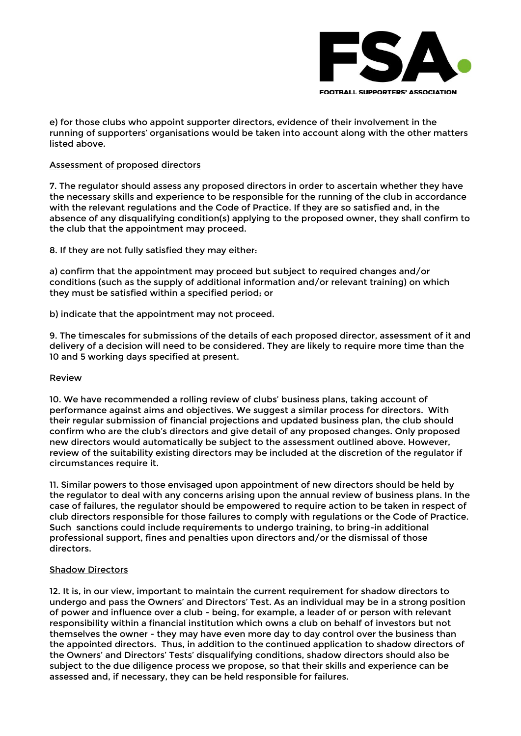

e) for those clubs who appoint supporter directors, evidence of their involvement in the running of supporters' organisations would be taken into account along with the other matters listed above.

#### Assessment of proposed directors

7. The regulator should assess any proposed directors in order to ascertain whether they have the necessary skills and experience to be responsible for the running of the club in accordance with the relevant regulations and the Code of Practice. If they are so satisfied and, in the absence of any disqualifying condition(s) applying to the proposed owner, they shall confirm to the club that the appointment may proceed.

8. If they are not fully satisfied they may either:

a) confirm that the appointment may proceed but subject to required changes and/or conditions (such as the supply of additional information and/or relevant training) on which they must be satisfied within a specified period; or

b) indicate that the appointment may not proceed.

9. The timescales for submissions of the details of each proposed director, assessment of it and delivery of a decision will need to be considered. They are likely to require more time than the 10 and 5 working days specified at present.

### Review

10. We have recommended a rolling review of clubs' business plans, taking account of performance against aims and objectives. We suggest a similar process for directors. With their regular submission of financial projections and updated business plan, the club should confirm who are the club's directors and give detail of any proposed changes. Only proposed new directors would automatically be subject to the assessment outlined above. However, review of the suitability existing directors may be included at the discretion of the regulator if circumstances require it.

11. Similar powers to those envisaged upon appointment of new directors should be held by the regulator to deal with any concerns arising upon the annual review of business plans. In the case of failures, the regulator should be empowered to require action to be taken in respect of club directors responsible for those failures to comply with regulations or the Code of Practice. Such sanctions could include requirements to undergo training, to bring-in additional professional support, fines and penalties upon directors and/or the dismissal of those directors.

# Shadow Directors

12. It is, in our view, important to maintain the current requirement for shadow directors to undergo and pass the Owners' and Directors' Test. As an individual may be in a strong position of power and influence over a club - being, for example, a leader of or person with relevant responsibility within a financial institution which owns a club on behalf of investors but not themselves the owner - they may have even more day to day control over the business than the appointed directors. Thus, in addition to the continued application to shadow directors of the Owners' and Directors' Tests' disqualifying conditions, shadow directors should also be subject to the due diligence process we propose, so that their skills and experience can be assessed and, if necessary, they can be held responsible for failures.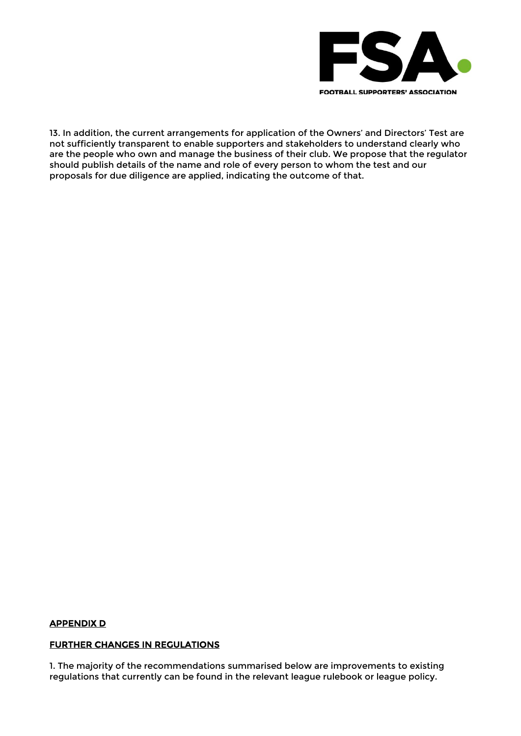

13. In addition, the current arrangements for application of the Owners' and Directors' Test are not sufficiently transparent to enable supporters and stakeholders to understand clearly who are the people who own and manage the business of their club. We propose that the regulator should publish details of the name and role of every person to whom the test and our proposals for due diligence are applied, indicating the outcome of that.

### <span id="page-13-0"></span>APPENDIX D

#### FURTHER CHANGES IN REGULATIONS

1. The majority of the recommendations summarised below are improvements to existing regulations that currently can be found in the relevant league rulebook or league policy.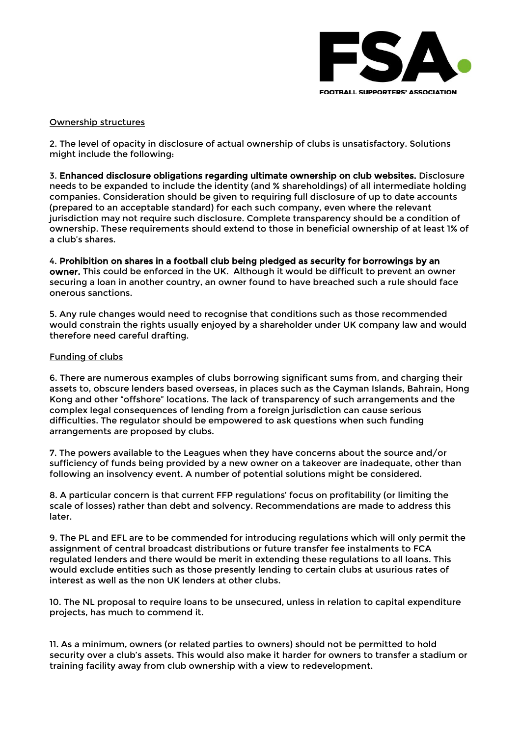

### Ownership structures

2. The level of opacity in disclosure of actual ownership of clubs is unsatisfactory. Solutions might include the following:

3. Enhanced disclosure obligations regarding ultimate ownership on club websites. Disclosure needs to be expanded to include the identity (and % shareholdings) of all intermediate holding companies. Consideration should be given to requiring full disclosure of up to date accounts (prepared to an acceptable standard) for each such company, even where the relevant jurisdiction may not require such disclosure. Complete transparency should be a condition of ownership. These requirements should extend to those in beneficial ownership of at least 1% of a club's shares.

4. Prohibition on shares in a football club being pledged as security for borrowings by an owner. This could be enforced in the UK. Although it would be difficult to prevent an owner securing a loan in another country, an owner found to have breached such a rule should face onerous sanctions.

5. Any rule changes would need to recognise that conditions such as those recommended would constrain the rights usually enjoyed by a shareholder under UK company law and would therefore need careful drafting.

# Funding of clubs

6. There are numerous examples of clubs borrowing significant sums from, and charging their assets to, obscure lenders based overseas, in places such as the Cayman Islands, Bahrain, Hong Kong and other "offshore" locations. The lack of transparency of such arrangements and the complex legal consequences of lending from a foreign jurisdiction can cause serious difficulties. The regulator should be empowered to ask questions when such funding arrangements are proposed by clubs.

7. The powers available to the Leagues when they have concerns about the source and/or sufficiency of funds being provided by a new owner on a takeover are inadequate, other than following an insolvency event. A number of potential solutions might be considered.

8. A particular concern is that current FFP regulations' focus on profitability (or limiting the scale of losses) rather than debt and solvency. Recommendations are made to address this later.

9. The PL and EFL are to be commended for introducing regulations which will only permit the assignment of central broadcast distributions or future transfer fee instalments to FCA regulated lenders and there would be merit in extending these regulations to all loans. This would exclude entities such as those presently lending to certain clubs at usurious rates of interest as well as the non UK lenders at other clubs.

10. The NL proposal to require loans to be unsecured, unless in relation to capital expenditure projects, has much to commend it.

11. As a minimum, owners (or related parties to owners) should not be permitted to hold security over a club's assets. This would also make it harder for owners to transfer a stadium or training facility away from club ownership with a view to redevelopment.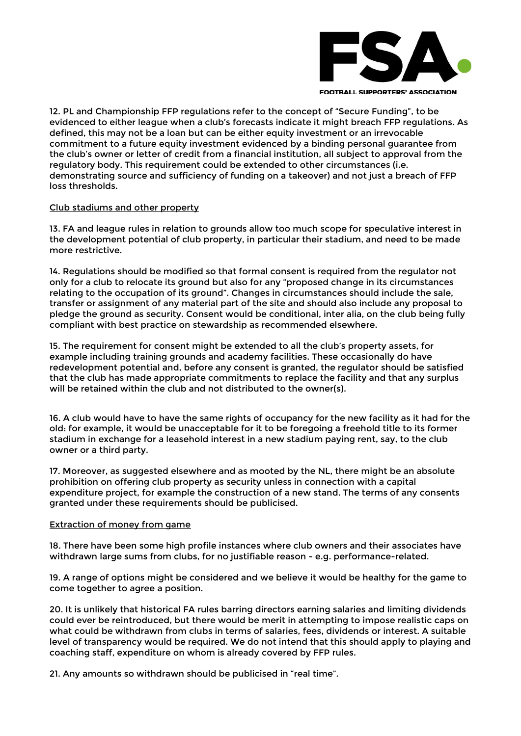

**FOOTBALL SUPPORTERS' ASSOCIATION** 

12. PL and Championship FFP regulations refer to the concept of "Secure Funding", to be evidenced to either league when a club's forecasts indicate it might breach FFP regulations. As defined, this may not be a loan but can be either equity investment or an irrevocable commitment to a future equity investment evidenced by a binding personal guarantee from the club's owner or letter of credit from a financial institution, all subject to approval from the regulatory body. This requirement could be extended to other circumstances (i.e. demonstrating source and sufficiency of funding on a takeover) and not just a breach of FFP loss thresholds.

#### Club stadiums and other property

13. FA and league rules in relation to grounds allow too much scope for speculative interest in the development potential of club property, in particular their stadium, and need to be made more restrictive.

14. Regulations should be modified so that formal consent is required from the regulator not only for a club to relocate its ground but also for any "proposed change in its circumstances relating to the occupation of its ground". Changes in circumstances should include the sale, transfer or assignment of any material part of the site and should also include any proposal to pledge the ground as security. Consent would be conditional, inter alia, on the club being fully compliant with best practice on stewardship as recommended elsewhere.

15. The requirement for consent might be extended to all the club's property assets, for example including training grounds and academy facilities. These occasionally do have redevelopment potential and, before any consent is granted, the regulator should be satisfied that the club has made appropriate commitments to replace the facility and that any surplus will be retained within the club and not distributed to the owner(s).

16. A club would have to have the same rights of occupancy for the new facility as it had for the old: for example, it would be unacceptable for it to be foregoing a freehold title to its former stadium in exchange for a leasehold interest in a new stadium paying rent, say, to the club owner or a third party.

17. Moreover, as suggested elsewhere and as mooted by the NL, there might be an absolute prohibition on offering club property as security unless in connection with a capital expenditure project, for example the construction of a new stand. The terms of any consents granted under these requirements should be publicised.

#### Extraction of money from game

18. There have been some high profile instances where club owners and their associates have withdrawn large sums from clubs, for no justifiable reason - e.g. performance-related.

19. A range of options might be considered and we believe it would be healthy for the game to come together to agree a position.

20. It is unlikely that historical FA rules barring directors earning salaries and limiting dividends could ever be reintroduced, but there would be merit in attempting to impose realistic caps on what could be withdrawn from clubs in terms of salaries, fees, dividends or interest. A suitable level of transparency would be required. We do not intend that this should apply to playing and coaching staff, expenditure on whom is already covered by FFP rules.

21. Any amounts so withdrawn should be publicised in "real time".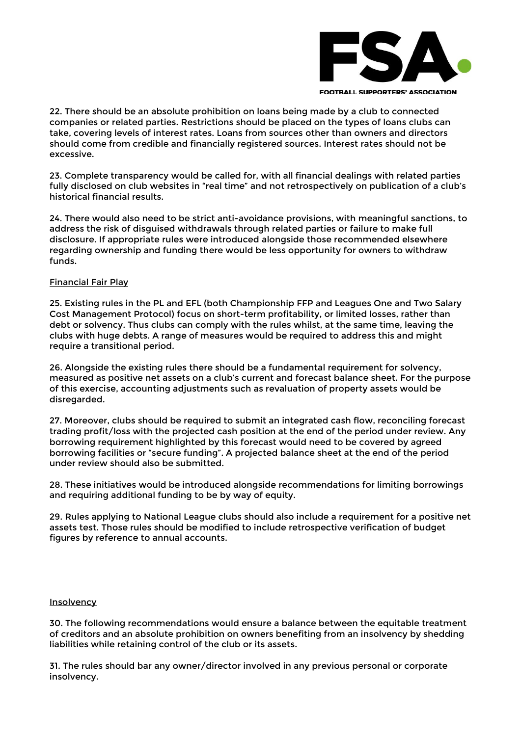

**FOOTBALL SUPPORTERS' ASSOCIATION** 

22. There should be an absolute prohibition on loans being made by a club to connected companies or related parties. Restrictions should be placed on the types of loans clubs can take, covering levels of interest rates. Loans from sources other than owners and directors should come from credible and financially registered sources. Interest rates should not be excessive.

23. Complete transparency would be called for, with all financial dealings with related parties fully disclosed on club websites in "real time" and not retrospectively on publication of a club's historical financial results.

24. There would also need to be strict anti-avoidance provisions, with meaningful sanctions, to address the risk of disguised withdrawals through related parties or failure to make full disclosure. If appropriate rules were introduced alongside those recommended elsewhere regarding ownership and funding there would be less opportunity for owners to withdraw funds.

### Financial Fair Play

25. Existing rules in the PL and EFL (both Championship FFP and Leagues One and Two Salary Cost Management Protocol) focus on short-term profitability, or limited losses, rather than debt or solvency. Thus clubs can comply with the rules whilst, at the same time, leaving the clubs with huge debts. A range of measures would be required to address this and might require a transitional period.

26. Alongside the existing rules there should be a fundamental requirement for solvency, measured as positive net assets on a club's current and forecast balance sheet. For the purpose of this exercise, accounting adjustments such as revaluation of property assets would be disregarded.

27. Moreover, clubs should be required to submit an integrated cash flow, reconciling forecast trading profit/loss with the projected cash position at the end of the period under review. Any borrowing requirement highlighted by this forecast would need to be covered by agreed borrowing facilities or "secure funding". A projected balance sheet at the end of the period under review should also be submitted.

28. These initiatives would be introduced alongside recommendations for limiting borrowings and requiring additional funding to be by way of equity.

29. Rules applying to National League clubs should also include a requirement for a positive net assets test. Those rules should be modified to include retrospective verification of budget figures by reference to annual accounts.

#### **Insolvency**

30. The following recommendations would ensure a balance between the equitable treatment of creditors and an absolute prohibition on owners benefiting from an insolvency by shedding liabilities while retaining control of the club or its assets.

31. The rules should bar any owner/director involved in any previous personal or corporate insolvency.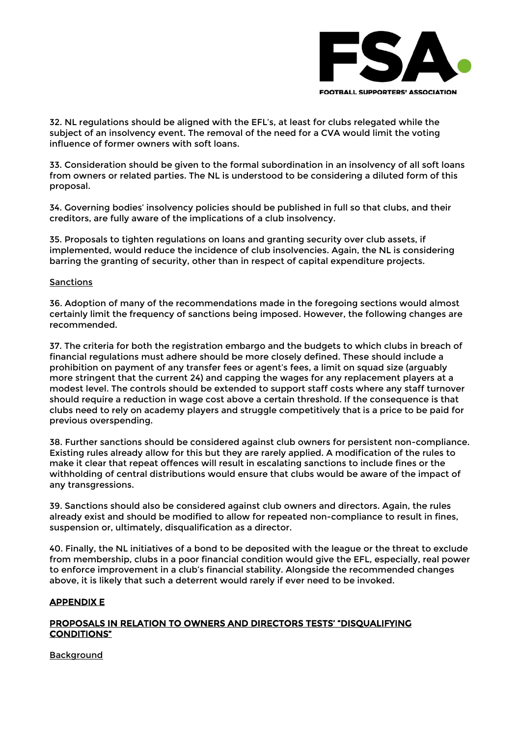

32. NL regulations should be aligned with the EFL's, at least for clubs relegated while the subject of an insolvency event. The removal of the need for a CVA would limit the voting influence of former owners with soft loans.

33. Consideration should be given to the formal subordination in an insolvency of all soft loans from owners or related parties. The NL is understood to be considering a diluted form of this proposal.

34. Governing bodies' insolvency policies should be published in full so that clubs, and their creditors, are fully aware of the implications of a club insolvency.

35. Proposals to tighten regulations on loans and granting security over club assets, if implemented, would reduce the incidence of club insolvencies. Again, the NL is considering barring the granting of security, other than in respect of capital expenditure projects.

# Sanctions

36. Adoption of many of the recommendations made in the foregoing sections would almost certainly limit the frequency of sanctions being imposed. However, the following changes are recommended.

37. The criteria for both the registration embargo and the budgets to which clubs in breach of financial regulations must adhere should be more closely defined. These should include a prohibition on payment of any transfer fees or agent's fees, a limit on squad size (arguably more stringent that the current 24) and capping the wages for any replacement players at a modest level. The controls should be extended to support staff costs where any staff turnover should require a reduction in wage cost above a certain threshold. If the consequence is that clubs need to rely on academy players and struggle competitively that is a price to be paid for previous overspending.

38. Further sanctions should be considered against club owners for persistent non-compliance. Existing rules already allow for this but they are rarely applied. A modification of the rules to make it clear that repeat offences will result in escalating sanctions to include fines or the withholding of central distributions would ensure that clubs would be aware of the impact of any transgressions.

39. Sanctions should also be considered against club owners and directors. Again, the rules already exist and should be modified to allow for repeated non-compliance to result in fines, suspension or, ultimately, disqualification as a director.

40. Finally, the NL initiatives of a bond to be deposited with the league or the threat to exclude from membership, clubs in a poor financial condition would give the EFL, especially, real power to enforce improvement in a club's financial stability. Alongside the recommended changes above, it is likely that such a deterrent would rarely if ever need to be invoked.

# <span id="page-17-0"></span>APPENDIX E

# PROPOSALS IN RELATION TO OWNERS AND DIRECTORS TESTS' "DISQUALIFYING CONDITIONS"

Background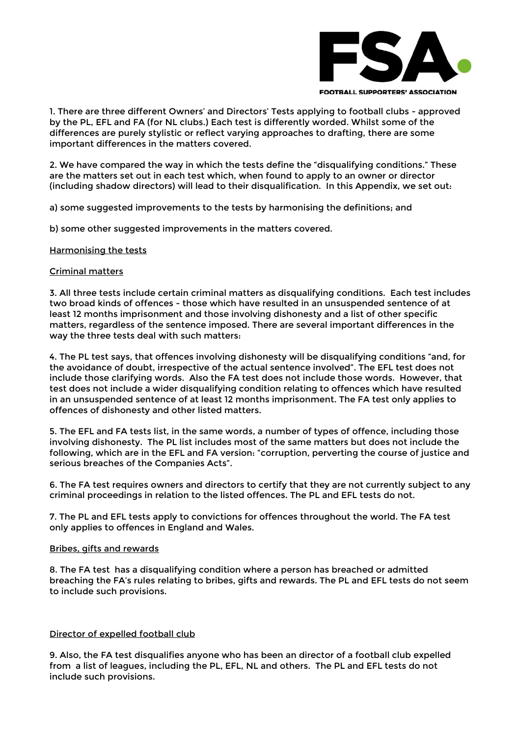

1. There are three different Owners' and Directors' Tests applying to football clubs - approved by the PL, EFL and FA (for NL clubs.) Each test is differently worded. Whilst some of the differences are purely stylistic or reflect varying approaches to drafting, there are some important differences in the matters covered.

2. We have compared the way in which the tests define the "disqualifying conditions." These are the matters set out in each test which, when found to apply to an owner or director (including shadow directors) will lead to their disqualification. In this Appendix, we set out:

a) some suggested improvements to the tests by harmonising the definitions; and

b) some other suggested improvements in the matters covered.

### Harmonising the tests

### Criminal matters

3. All three tests include certain criminal matters as disqualifying conditions. Each test includes two broad kinds of offences - those which have resulted in an unsuspended sentence of at least 12 months imprisonment and those involving dishonesty and a list of other specific matters, regardless of the sentence imposed. There are several important differences in the way the three tests deal with such matters:

4. The PL test says, that offences involving dishonesty will be disqualifying conditions "and, for the avoidance of doubt, irrespective of the actual sentence involved". The EFL test does not include those clarifying words. Also the FA test does not include those words. However, that test does not include a wider disqualifying condition relating to offences which have resulted in an unsuspended sentence of at least 12 months imprisonment. The FA test only applies to offences of dishonesty and other listed matters.

5. The EFL and FA tests list, in the same words, a number of types of offence, including those involving dishonesty. The PL list includes most of the same matters but does not include the following, which are in the EFL and FA version: "corruption, perverting the course of justice and serious breaches of the Companies Acts".

6. The FA test requires owners and directors to certify that they are not currently subject to any criminal proceedings in relation to the listed offences. The PL and EFL tests do not.

7. The PL and EFL tests apply to convictions for offences throughout the world. The FA test only applies to offences in England and Wales.

### Bribes, gifts and rewards

8. The FA test has a disqualifying condition where a person has breached or admitted breaching the FA's rules relating to bribes, gifts and rewards. The PL and EFL tests do not seem to include such provisions.

### Director of expelled football club

9. Also, the FA test disqualifies anyone who has been an director of a football club expelled from a list of leagues, including the PL, EFL, NL and others. The PL and EFL tests do not include such provisions.